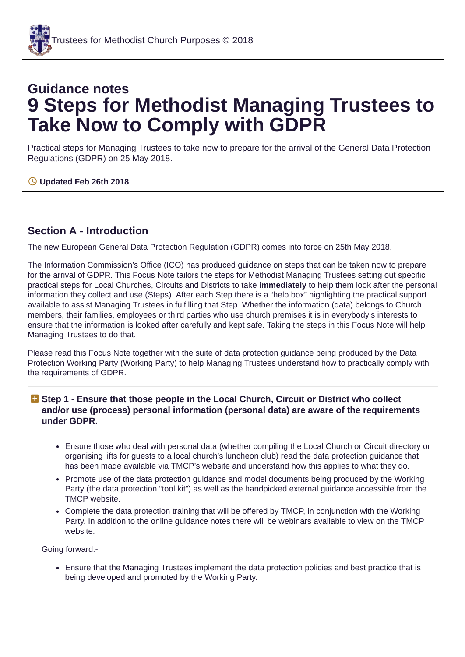# **Guidance notes 9 Steps for Methodist Managing Trustees to Take Now to Comply with GDPR**

Practical steps for Managing Trustees to take now to prepare for the arrival of the General Data Protection Regulations (GDPR) on 25 May 2018.

## **Updated Feb 26th 2018**

# **Section A - Introduction**

The new European General Data Protection Regulation (GDPR) comes into force on 25th May 2018.

The Information Commission's Office (ICO) has produced guidance on steps that can be taken now to prepare for the arrival of GDPR. This Focus Note tailors the steps for Methodist Managing Trustees setting out specific practical steps for Local Churches, Circuits and Districts to take **immediately** to help them look after the personal information they collect and use (Steps). After each Step there is a "help box" highlighting the practical support available to assist Managing Trustees in fulfilling that Step. Whether the information (data) belongs to Church members, their families, employees or third parties who use church premises it is in everybody's interests to ensure that the information is looked after carefully and kept safe. Taking the steps in this Focus Note will help Managing Trustees to do that.

Please read this Focus Note together with the suite of data protection guidance being produced by the Data Protection Working Party (Working Party) to help Managing Trustees understand how to practically comply with the requirements of GDPR.

## **Step 1 - Ensure that those people in the Local Church, Circuit or District who collect and/or use (process) personal information (personal data) are aware of the requirements under GDPR.**

- Ensure those who deal with personal data (whether compiling the Local Church or Circuit directory or organising lifts for guests to a local church's luncheon club) read the data protection guidance that has been made available via TMCP's website and understand how this applies to what they do.
- Promote use of the data protection quidance and model documents being produced by the Working Party (the data protection "tool kit") as well as the handpicked external guidance accessible from the TMCP website.
- Complete the data protection training that will be offered by TMCP, in conjunction with the Working Party. In addition to the online guidance notes there will be webinars available to view on the TMCP website.

Going forward:-

Ensure that the Managing Trustees implement the data protection policies and best practice that is being developed and promoted by the Working Party.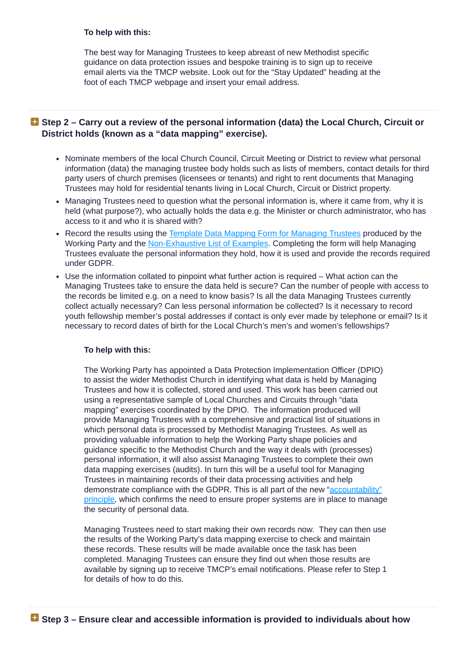#### **To help with this:**

The best way for Managing Trustees to keep abreast of new Methodist specific guidance on data protection issues and bespoke training is to sign up to receive email alerts via the TMCP website. Look out for the "Stay Updated" heading at the foot of each TMCP webpage and insert your email address.

## **Step 2 – Carry out a review of the personal information (data) the Local Church, Circuit or District holds (known as a "data mapping" exercise).**

- Nominate members of the local Church Council, Circuit Meeting or District to review what personal information (data) the managing trustee body holds such as lists of members, contact details for third party users of church premises (licensees or tenants) and right to rent documents that Managing Trustees may hold for residential tenants living in Local Church, Circuit or District property.
- Managing Trustees need to question what the personal information is, where it came from, why it is held (what purpose?), who actually holds the data e.g. the Minister or church administrator, who has access to it and who it is shared with?
- Record the results using the Template Data Mapping Form for [Managing](https://www.tmcp.org.uk/about/data-protection/resources/standard-documents-and-forms/data-mapping-form) Trustees produced by the Working Party and the [Non-Exhaustive](https://www.tmcp.org.uk/kcfinder-uploads/files/data-mapping-examples.pdf) List of Examples. Completing the form will help Managing Trustees evaluate the personal information they hold, how it is used and provide the records required under GDPR.
- Use the information collated to pinpoint what further action is required What action can the Managing Trustees take to ensure the data held is secure? Can the number of people with access to the records be limited e.g. on a need to know basis? Is all the data Managing Trustees currently collect actually necessary? Can less personal information be collected? Is it necessary to record youth fellowship member's postal addresses if contact is only ever made by telephone or email? Is it necessary to record dates of birth for the Local Church's men's and women's fellowships?

#### **To help with this:**

The Working Party has appointed a Data Protection Implementation Officer (DPIO) to assist the wider Methodist Church in identifying what data is held by Managing Trustees and how it is collected, stored and used. This work has been carried out using a representative sample of Local Churches and Circuits through "data mapping" exercises coordinated by the DPIO. The information produced will provide Managing Trustees with a comprehensive and practical list of situations in which personal data is processed by Methodist Managing Trustees. As well as providing valuable information to help the Working Party shape policies and guidance specific to the Methodist Church and the way it deals with (processes) personal information, it will also assist Managing Trustees to complete their own data mapping exercises (audits). In turn this will be a useful tool for Managing Trustees in maintaining records of their data processing activities and help demonstrate compliance with the GDPR. This is all part of the new ["accountability"](https://www.tmcp.org.uk/about/data-protection/resources/guidenotes/gdpr#e) principle, which confirms the need to ensure proper systems are in place to manage the security of personal data.

Managing Trustees need to start making their own records now. They can then use the results of the Working Party's data mapping exercise to check and maintain these records. These results will be made available once the task has been completed. Managing Trustees can ensure they find out when those results are available by signing up to receive TMCP's email notifications. Please refer to Step 1 for details of how to do this.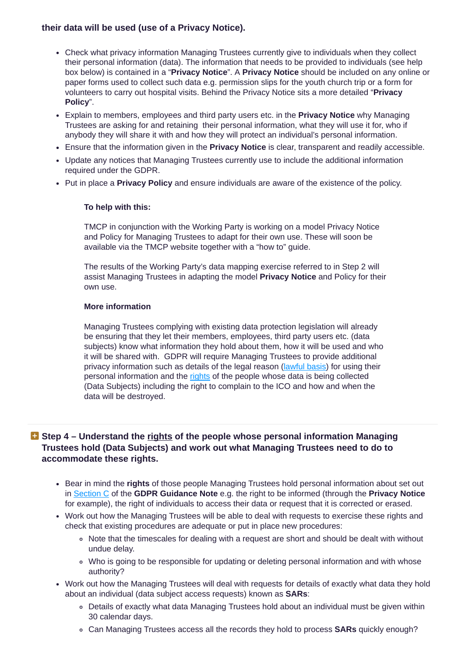## **their data will be used (use of a Privacy Notice).**

- Check what privacy information Managing Trustees currently give to individuals when they collect their personal information (data). The information that needs to be provided to individuals (see help box below) is contained in a "**Privacy Notice**". A **Privacy Notice** should be included on any online or paper forms used to collect such data e.g. permission slips for the youth church trip or a form for volunteers to carry out hospital visits. Behind the Privacy Notice sits a more detailed "**Privacy Policy**".
- Explain to members, employees and third party users etc. in the **Privacy Notice** why Managing Trustees are asking for and retaining their personal information, what they will use it for, who if anybody they will share it with and how they will protect an individual's personal information.
- Ensure that the information given in the **Privacy Notice** is clear, transparent and readily accessible.
- Update any notices that Managing Trustees currently use to include the additional information required under the GDPR.
- Put in place a **Privacy Policy** and ensure individuals are aware of the existence of the policy.

## **To help with this:**

TMCP in conjunction with the Working Party is working on a model Privacy Notice and Policy for Managing Trustees to adapt for their own use. These will soon be available via the TMCP website together with a "how to" guide.

The results of the Working Party's data mapping exercise referred to in Step 2 will assist Managing Trustees in adapting the model **Privacy Notice** and Policy for their own use.

## **More information**

Managing Trustees complying with existing data protection legislation will already be ensuring that they let their members, employees, third party users etc. (data subjects) know what information they hold about them, how it will be used and who it will be shared with. GDPR will require Managing Trustees to provide additional privacy information such as details of the legal reason [\(lawful](https://www.tmcp.org.uk/about/data-protection/resources/guidenotes/gdpr#d) basis) for using their personal information and the [rights](https://www.tmcp.org.uk/about/data-protection/resources/guidenotes/gdpr#c) of the people whose data is being collected (Data Subjects) including the right to complain to the ICO and how and when the data will be destroyed.

## **Step 4 – Understand the [rights](https://www.tmcp.org.uk/about/data-protection/resources/guidenotes/gdpr#c) of the people whose personal information Managing Trustees hold (Data Subjects) and work out what Managing Trustees need to do to accommodate these rights.**

- Bear in mind the **rights** of those people Managing Trustees hold personal information about set out in [Section](https://www.tmcp.org.uk/about/data-protection/resources/guidenotes/gdpr#c) C of the **GDPR Guidance Note** e.g. the right to be informed (through the **Privacy Notice** for example), the right of individuals to access their data or request that it is corrected or erased.
- Work out how the Managing Trustees will be able to deal with requests to exercise these rights and check that existing procedures are adequate or put in place new procedures:
	- Note that the timescales for dealing with a request are short and should be dealt with without undue delay.
	- Who is going to be responsible for updating or deleting personal information and with whose authority?
- Work out how the Managing Trustees will deal with requests for details of exactly what data they hold about an individual (data subject access requests) known as **SARs**:
	- Details of exactly what data Managing Trustees hold about an individual must be given within 30 calendar days.
	- Can Managing Trustees access all the records they hold to process **SARs** quickly enough?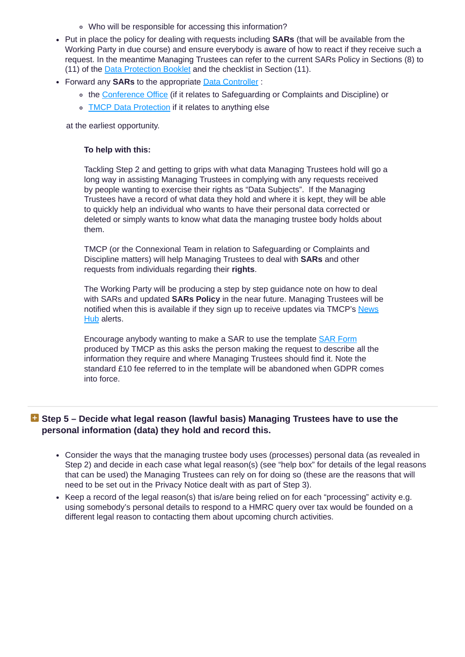- Who will be responsible for accessing this information?
- Put in place the policy for dealing with requests including **SARs** (that will be available from the Working Party in due course) and ensure everybody is aware of how to react if they receive such a request. In the meantime Managing Trustees can refer to the current SARs Policy in Sections (8) to (11) of the Data [Protection](https://www.tmcp.org.uk/kcfinder-uploads/files/data-protection.pdf) Booklet and the checklist in Section (11).
- Forward any **SARs** to the appropriate Data [Controller](https://www.tmcp.org.uk/about/data-protection/resources/guidenotes/who-are-data-controllers) :
	- the [Conference](mailto:conferenceoffice@methodistchurch.org.uk) Office (if it relates to Safeguarding or Complaints and Discipline) or
	- TMCP Data [Protection](mailto:dataprotection@tmcp.methodist.org.uk) if it relates to anything else

at the earliest opportunity.

## **To help with this:**

Tackling Step 2 and getting to grips with what data Managing Trustees hold will go a long way in assisting Managing Trustees in complying with any requests received by people wanting to exercise their rights as "Data Subjects". If the Managing Trustees have a record of what data they hold and where it is kept, they will be able to quickly help an individual who wants to have their personal data corrected or deleted or simply wants to know what data the managing trustee body holds about them.

TMCP (or the Connexional Team in relation to Safeguarding or Complaints and Discipline matters) will help Managing Trustees to deal with **SARs** and other requests from individuals regarding their **rights**.

The Working Party will be producing a step by step guidance note on how to deal with SARs and updated **SARs Policy** in the near future. Managing Trustees will be notified when this is [available](https://www.tmcp.org.uk/news-hub) if they sign up to receive updates via TMCP's News Hub alerts.

Encourage anybody wanting to make a SAR to use the template SAR [Form](https://www.tmcp.org.uk/kcfinder-uploads/files/data-request.pdf) produced by TMCP as this asks the person making the request to describe all the information they require and where Managing Trustees should find it. Note the standard £10 fee referred to in the template will be abandoned when GDPR comes into force.

# **Step 5 – Decide what legal reason (lawful basis) Managing Trustees have to use the personal information (data) they hold and record this.**

- Consider the ways that the managing trustee body uses (processes) personal data (as revealed in Step 2) and decide in each case what legal reason(s) (see "help box" for details of the legal reasons that can be used) the Managing Trustees can rely on for doing so (these are the reasons that will need to be set out in the Privacy Notice dealt with as part of Step 3).
- Keep a record of the legal reason(s) that is/are being relied on for each "processing" activity e.g. using somebody's personal details to respond to a HMRC query over tax would be founded on a different legal reason to contacting them about upcoming church activities.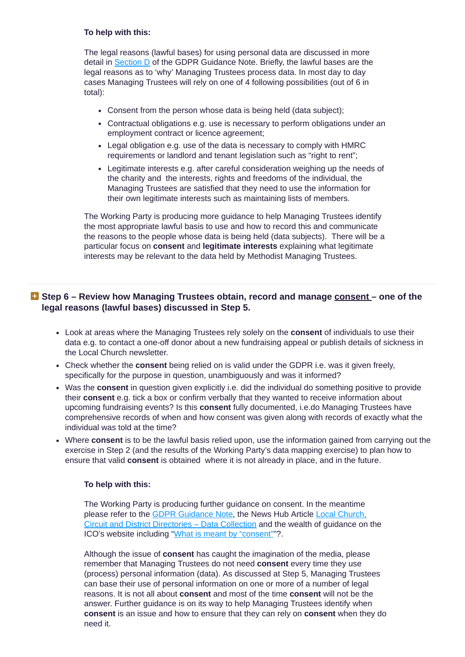## **To help with this:**

The legal reasons (lawful bases) for using personal data are discussed in more detail in [Section](https://www.tmcp.org.uk/about/data-protection/resources/guidenotes/gdpr#d) D of the GDPR Guidance Note. Briefly, the lawful bases are the legal reasons as to 'why' Managing Trustees process data. In most day to day cases Managing Trustees will rely on one of 4 following possibilities (out of 6 in total):

- Consent from the person whose data is being held (data subject);
- Contractual obligations e.g. use is necessary to perform obligations under an employment contract or licence agreement;
- Legal obligation e.g. use of the data is necessary to comply with HMRC requirements or landlord and tenant legislation such as "right to rent";
- Legitimate interests e.g. after careful consideration weighing up the needs of the charity and the interests, rights and freedoms of the individual, the Managing Trustees are satisfied that they need to use the information for their own legitimate interests such as maintaining lists of members.

The Working Party is producing more guidance to help Managing Trustees identify the most appropriate lawful basis to use and how to record this and communicate the reasons to the people whose data is being held (data subjects). There will be a particular focus on **consent** and **legitimate interests** explaining what legitimate interests may be relevant to the data held by Methodist Managing Trustees.

## **Step 6 – Review how Managing Trustees obtain, record and manage [consent](https://www.tmcp.org.uk/about/data-protection/resources/guidenotes/gdpr#d) – one of the legal reasons (lawful bases) discussed in Step 5.**

- Look at areas where the Managing Trustees rely solely on the **consent** of individuals to use their data e.g. to contact a one-off donor about a new fundraising appeal or publish details of sickness in the Local Church newsletter.
- Check whether the **consent** being relied on is valid under the GDPR i.e. was it given freely, specifically for the purpose in question, unambiguously and was it informed?
- Was the **consent** in question given explicitly i.e. did the individual do something positive to provide their **consent** e.g. tick a box or confirm verbally that they wanted to receive information about upcoming fundraising events? Is this **consent** fully documented, i.e.do Managing Trustees have comprehensive records of when and how consent was given along with records of exactly what the individual was told at the time?
- Where **consent** is to be the lawful basis relied upon, use the information gained from carrying out the exercise in Step 2 (and the results of the Working Party's data mapping exercise) to plan how to ensure that valid **consent** is obtained where it is not already in place, and in the future.

#### **To help with this:**

The Working Party is producing further guidance on consent. In the meantime please refer to the GDPR [Guidance](https://www.tmcp.org.uk/about/data-protection/resources/guidenotes/gdpr) Note, the News Hub Article Local Church, Circuit and District [Directories](https://www.tmcp.org.uk/news-hub/local-church-circuit-and-district-directories-data-collection) – Data Collection and the wealth of guidance on the ICO's website including "What is meant by ["consent"](https://ico.org.uk/for-organisations/guide-to-the-general-data-protection-regulation-gdpr/lawful-basis-for-processing/consent/)"?.

Although the issue of **consent** has caught the imagination of the media, please remember that Managing Trustees do not need **consent** every time they use (process) personal information (data). As discussed at Step 5, Managing Trustees can base their use of personal information on one or more of a number of legal reasons. It is not all about **consent** and most of the time **consent** will not be the answer. Further guidance is on its way to help Managing Trustees identify when **consent** is an issue and how to ensure that they can rely on **consent** when they do need it.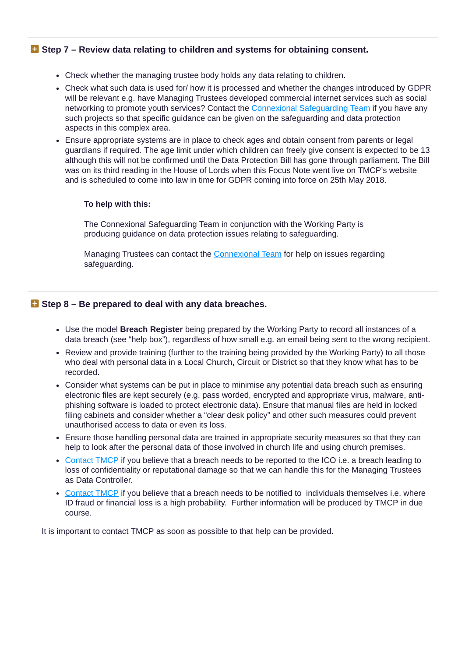## **Step 7 – Review data relating to children and systems for obtaining consent.**

- Check whether the managing trustee body holds any data relating to children.
- Check what such data is used for/ how it is processed and whether the changes introduced by GDPR will be relevant e.g. have Managing Trustees developed commercial internet services such as social networking to promote youth services? Contact the Connexional [Safeguarding](mailto:conferenceoffice@methodistchurch.org.uk) Team if you have any such projects so that specific guidance can be given on the safeguarding and data protection aspects in this complex area.
- Ensure appropriate systems are in place to check ages and obtain consent from parents or legal guardians if required. The age limit under which children can freely give consent is expected to be 13 although this will not be confirmed until the Data Protection Bill has gone through parliament. The Bill was on its third reading in the House of Lords when this Focus Note went live on TMCP's website and is scheduled to come into law in time for GDPR coming into force on 25th May 2018.

#### **To help with this:**

The Connexional Safeguarding Team in conjunction with the Working Party is producing guidance on data protection issues relating to safeguarding.

Managing Trustees can contact the [Connexional](mailto:conferenceoffice@methodistchurch.org.uk) Team for help on issues regarding safeguarding.

## **Step 8 – Be prepared to deal with any data breaches.**

- Use the model **Breach Register** being prepared by the Working Party to record all instances of a data breach (see "help box"), regardless of how small e.g. an email being sent to the wrong recipient.
- Review and provide training (further to the training being provided by the Working Party) to all those who deal with personal data in a Local Church, Circuit or District so that they know what has to be recorded.
- Consider what systems can be put in place to minimise any potential data breach such as ensuring electronic files are kept securely (e.g. pass worded, encrypted and appropriate virus, malware, antiphishing software is loaded to protect electronic data). Ensure that manual files are held in locked filing cabinets and consider whether a "clear desk policy" and other such measures could prevent unauthorised access to data or even its loss.
- Ensure those handling personal data are trained in appropriate security measures so that they can help to look after the personal data of those involved in church life and using church premises.
- [Contact](mailto:dataprotection@tmcp.methodist.org.uk) TMCP if you believe that a breach needs to be reported to the ICO i.e. a breach leading to loss of confidentiality or reputational damage so that we can handle this for the Managing Trustees as Data Controller.
- [Contact](mailto:dataprotection@tmcp.methodist.org.uk) TMCP if you believe that a breach needs to be notified to individuals themselves i.e. where ID fraud or financial loss is a high probability. Further information will be produced by TMCP in due course.

It is important to contact TMCP as soon as possible to that help can be provided.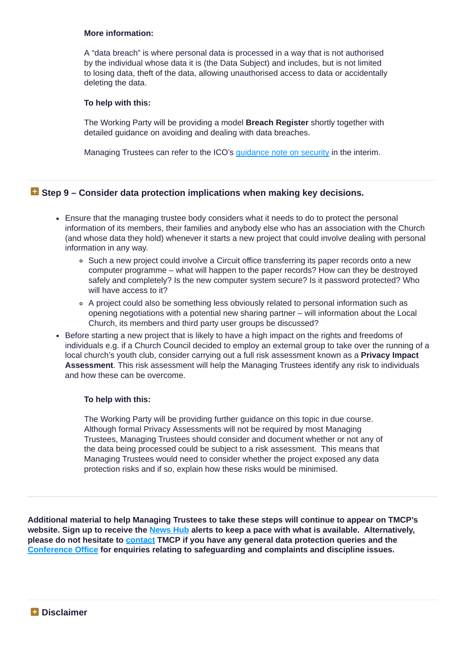#### **More information:**

A "data breach" is where personal data is processed in a way that is not authorised by the individual whose data it is (the Data Subject) and includes, but is not limited to losing data, theft of the data, allowing unauthorised access to data or accidentally deleting the data.

#### **To help with this:**

The Working Party will be providing a model **Breach Register** shortly together with detailed guidance on avoiding and dealing with data breaches.

Managing Trustees can refer to the ICO's quidance note on security in the interim.

# **Step 9 – Consider data protection implications when making key decisions.**

- Ensure that the managing trustee body considers what it needs to do to protect the personal information of its members, their families and anybody else who has an association with the Church (and whose data they hold) whenever it starts a new project that could involve dealing with personal information in any way.
	- Such a new project could involve a Circuit office transferring its paper records onto a new computer programme – what will happen to the paper records? How can they be destroyed safely and completely? Is the new computer system secure? Is it password protected? Who will have access to it?
	- A project could also be something less obviously related to personal information such as opening negotiations with a potential new sharing partner – will information about the Local Church, its members and third party user groups be discussed?
- Before starting a new project that is likely to have a high impact on the rights and freedoms of individuals e.g. if a Church Council decided to employ an external group to take over the running of a local church's youth club, consider carrying out a full risk assessment known as a **Privacy Impact Assessment**. This risk assessment will help the Managing Trustees identify any risk to individuals and how these can be overcome.

#### **To help with this:**

The Working Party will be providing further guidance on this topic in due course. Although formal Privacy Assessments will not be required by most Managing Trustees, Managing Trustees should consider and document whether or not any of the data being processed could be subject to a risk assessment. This means that Managing Trustees would need to consider whether the project exposed any data protection risks and if so, explain how these risks would be minimised.

**Additional material to help Managing Trustees to take these steps will continue to appear on TMCP's** website. Sign up to receive the [News](https://www.tmcp.org.uk/news-hub) Hub alerts to keep a pace with what is available. Alternatively, **please do not hesitate to [contact](https://www.tmcp.org.uk/contact) TMCP if you have any general data protection queries and the [Conference](mailto:conferenceoffice@methodistchurch.org.uk) Office for enquiries relating to safeguarding and complaints and discipline issues.**